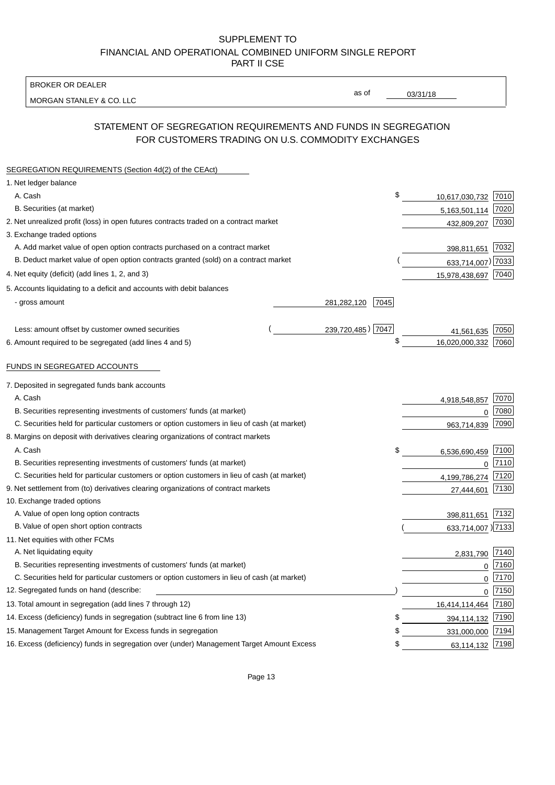BROKER OR DEALER

MORGAN STANLEY & CO. LLC

03/31/18

as of

# STATEMENT OF SEGREGATION REQUIREMENTS AND FUNDS IN SEGREGATION FOR CUSTOMERS TRADING ON U.S. COMMODITY EXCHANGES

| SEGREGATION REQUIREMENTS (Section 4d(2) of the CEAct)                                       |                     |                   |      |
|---------------------------------------------------------------------------------------------|---------------------|-------------------|------|
| 1. Net ledger balance                                                                       |                     |                   |      |
| A. Cash                                                                                     | \$                  | 10,617,030,732    | 7010 |
| B. Securities (at market)                                                                   |                     | 5,163,501,114     | 7020 |
| 2. Net unrealized profit (loss) in open futures contracts traded on a contract market       |                     | 432,809,207       | 7030 |
| 3. Exchange traded options                                                                  |                     |                   |      |
| A. Add market value of open option contracts purchased on a contract market                 |                     | 398,811,651       | 7032 |
| B. Deduct market value of open option contracts granted (sold) on a contract market         |                     | 633,714,007) 7033 |      |
| 4. Net equity (deficit) (add lines 1, 2, and 3)                                             |                     | 15,978,438,697    | 7040 |
| 5. Accounts liquidating to a deficit and accounts with debit balances                       |                     |                   |      |
| - gross amount                                                                              | 281,282,120<br>7045 |                   |      |
|                                                                                             |                     |                   |      |
| Less: amount offset by customer owned securities                                            | 239,720,485) 7047   | 41,561,635        | 7050 |
| 6. Amount required to be segregated (add lines 4 and 5)                                     | \$                  | 16,020,000,332    | 7060 |
|                                                                                             |                     |                   |      |
| FUNDS IN SEGREGATED ACCOUNTS                                                                |                     |                   |      |
| 7. Deposited in segregated funds bank accounts                                              |                     |                   |      |
| A. Cash                                                                                     |                     | 4,918,548,857     | 7070 |
| B. Securities representing investments of customers' funds (at market)                      |                     | $\Omega$          | 7080 |
| C. Securities held for particular customers or option customers in lieu of cash (at market) |                     | 963,714,839       | 7090 |
| 8. Margins on deposit with derivatives clearing organizations of contract markets           |                     |                   |      |
| A. Cash                                                                                     | \$                  | 6,536,690,459     | 7100 |
| B. Securities representing investments of customers' funds (at market)                      |                     | $\mathbf 0$       | 7110 |
| C. Securities held for particular customers or option customers in lieu of cash (at market) |                     | 4,199,786,274     | 7120 |
| 9. Net settlement from (to) derivatives clearing organizations of contract markets          |                     | 27,444,601        | 7130 |
| 10. Exchange traded options                                                                 |                     |                   |      |
| A. Value of open long option contracts                                                      |                     | 398,811,651       | 7132 |
| B. Value of open short option contracts                                                     |                     | 633,714,007 )7133 |      |
| 11. Net equities with other FCMs                                                            |                     |                   |      |
| A. Net liquidating equity                                                                   |                     | 2,831,790         | 7140 |
| B. Securities representing investments of customers' funds (at market)                      |                     | $\Omega$          | 7160 |
| C. Securities held for particular customers or option customers in lieu of cash (at market) |                     | $\mathbf 0$       | 7170 |
| 12. Segregated funds on hand (describe:                                                     |                     | $\mathbf 0$       | 7150 |
| 13. Total amount in segregation (add lines 7 through 12)                                    |                     | 16,414,114,464    | 7180 |
| 14. Excess (deficiency) funds in segregation (subtract line 6 from line 13)                 | S                   | 394,114,132       | 7190 |
| 15. Management Target Amount for Excess funds in segregation                                | \$                  | 331,000,000       | 7194 |
| 16. Excess (deficiency) funds in segregation over (under) Management Target Amount Excess   | \$                  | 63,114,132        | 7198 |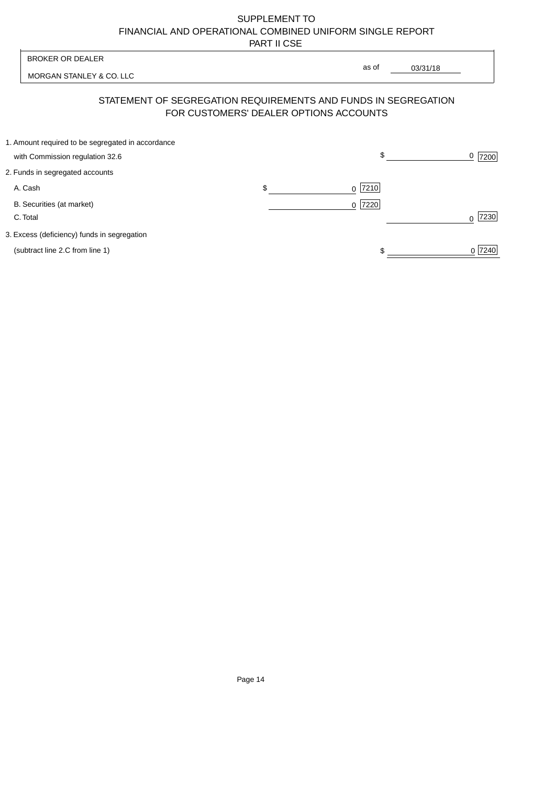| <b>BROKER OR DEALER</b>                                                                                  | as of                    |          |                |
|----------------------------------------------------------------------------------------------------------|--------------------------|----------|----------------|
| MORGAN STANLEY & CO. LLC                                                                                 |                          | 03/31/18 |                |
| STATEMENT OF SEGREGATION REQUIREMENTS AND FUNDS IN SEGREGATION<br>FOR CUSTOMERS' DEALER OPTIONS ACCOUNTS |                          |          |                |
| 1. Amount required to be segregated in accordance                                                        | \$                       |          |                |
| with Commission regulation 32.6                                                                          |                          |          | <u>0</u>  7200 |
| 2. Funds in segregated accounts                                                                          |                          |          |                |
| A. Cash                                                                                                  | \$<br> 7210 <br>$\Omega$ |          |                |
| B. Securities (at market)                                                                                | 7220<br>0                |          |                |
| C. Total                                                                                                 |                          |          | 7230           |
| 3. Excess (deficiency) funds in segregation                                                              |                          |          |                |
| (subtract line 2.C from line 1)                                                                          |                          |          | 0 7240         |
|                                                                                                          |                          |          |                |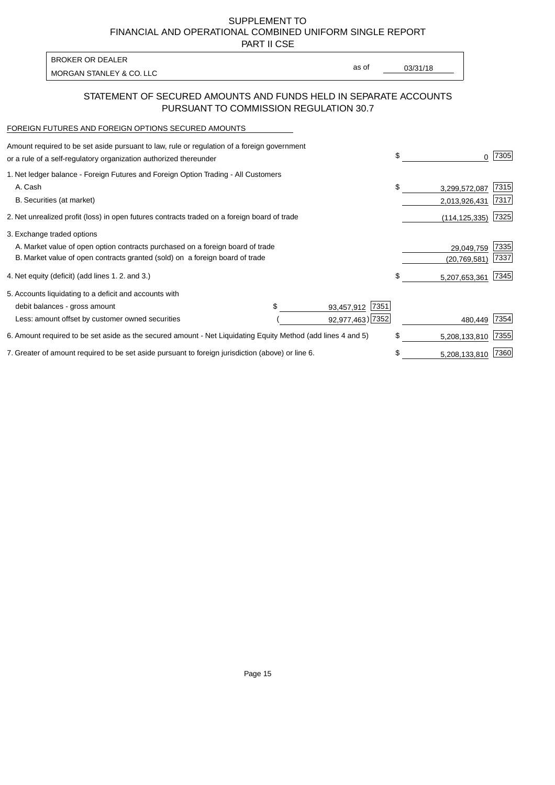PART II CSE

| BROKER OR DEALER         |       |          |
|--------------------------|-------|----------|
| MORGAN STANLEY & CO. LLC | as of | 03/31/18 |
|                          |       |          |

### STATEMENT OF SECURED AMOUNTS AND FUNDS HELD IN SEPARATE ACCOUNTS PURSUANT TO COMMISSION REGULATION 30.7

#### FOREIGN FUTURES AND FOREIGN OPTIONS SECURED AMOUNTS

| Amount required to be set aside pursuant to law, rule or regulation of a foreign government<br>or a rule of a self-regulatory organization authorized thereunder |                    | \$<br>0             | 7305 |
|------------------------------------------------------------------------------------------------------------------------------------------------------------------|--------------------|---------------------|------|
| 1. Net ledger balance - Foreign Futures and Foreign Option Trading - All Customers                                                                               |                    |                     |      |
| A. Cash                                                                                                                                                          |                    | \$<br>3,299,572,087 | 7315 |
| B. Securities (at market)                                                                                                                                        |                    | 2,013,926,431       | 7317 |
| 2. Net unrealized profit (loss) in open futures contracts traded on a foreign board of trade                                                                     |                    | (114, 125, 335)     | 7325 |
| 3. Exchange traded options                                                                                                                                       |                    |                     |      |
| A. Market value of open option contracts purchased on a foreign board of trade                                                                                   |                    | 29,049,759          | 7335 |
| B. Market value of open contracts granted (sold) on a foreign board of trade                                                                                     |                    | (20, 769, 581)      | 7337 |
| 4. Net equity (deficit) (add lines 1.2. and 3.)                                                                                                                  |                    | \$<br>5,207,653,361 | 7345 |
| 5. Accounts liquidating to a deficit and accounts with                                                                                                           |                    |                     |      |
| debit balances - gross amount                                                                                                                                    | 7351<br>93,457,912 |                     |      |
| Less: amount offset by customer owned securities                                                                                                                 | 92,977,463) 7352   | 480,449             | 7354 |
| 6. Amount required to be set aside as the secured amount - Net Liquidating Equity Method (add lines 4 and 5)                                                     |                    | \$<br>5,208,133,810 | 7355 |
| 7. Greater of amount required to be set aside pursuant to foreign jurisdiction (above) or line 6.                                                                |                    | \$<br>5,208,133,810 | 7360 |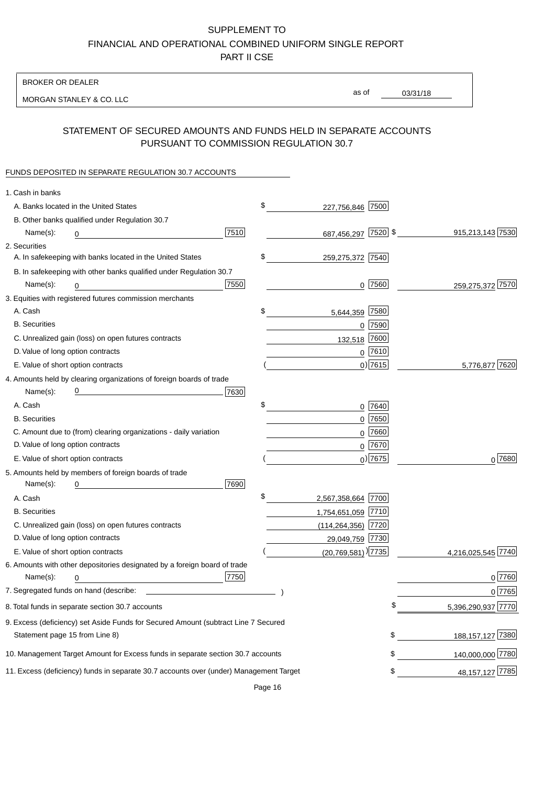BROKER OR DEALER

MORGAN STANLEY & CO. LLC

03/31/18 as of

# STATEMENT OF SECURED AMOUNTS AND FUNDS HELD IN SEPARATE ACCOUNTS PURSUANT TO COMMISSION REGULATION 30.7

### FUNDS DEPOSITED IN SEPARATE REGULATION 30.7 ACCOUNTS

| 1. Cash in banks                                         |                                                                                        |      |                                    |             |                    |
|----------------------------------------------------------|----------------------------------------------------------------------------------------|------|------------------------------------|-------------|--------------------|
| A. Banks located in the United States                    |                                                                                        |      | \$<br>227,756,846                  | 7500        |                    |
| B. Other banks qualified under Regulation 30.7           |                                                                                        |      |                                    |             |                    |
| Name(s):<br>0                                            |                                                                                        | 7510 | 687,456,297 7520 \$                |             | 915,213,143 7530   |
| 2. Securities                                            |                                                                                        |      |                                    |             |                    |
|                                                          | A. In safekeeping with banks located in the United States                              |      | \$<br>259,275,372 7540             |             |                    |
|                                                          | B. In safekeeping with other banks qualified under Regulation 30.7                     |      |                                    |             |                    |
| Name(s):<br>0                                            |                                                                                        | 7550 | 0                                  | 7560        | 259,275,372 7570   |
| 3. Equities with registered futures commission merchants |                                                                                        |      |                                    |             |                    |
| A. Cash                                                  |                                                                                        |      | \$<br>5,644,359                    | 7580        |                    |
| <b>B.</b> Securities                                     |                                                                                        |      |                                    | $0$ 7590    |                    |
| C. Unrealized gain (loss) on open futures contracts      |                                                                                        |      | 132,518                            | 7600        |                    |
| D. Value of long option contracts                        |                                                                                        |      |                                    | $0$ 7610    |                    |
| E. Value of short option contracts                       |                                                                                        |      |                                    | $0)$ 7615   | 5,776,877 7620     |
|                                                          | 4. Amounts held by clearing organizations of foreign boards of trade                   |      |                                    |             |                    |
| Name(s):                                                 |                                                                                        | 7630 |                                    |             |                    |
| A. Cash                                                  |                                                                                        |      | \$                                 | 0 7640      |                    |
| <b>B.</b> Securities                                     |                                                                                        |      |                                    | $0$ 7650    |                    |
|                                                          | C. Amount due to (from) clearing organizations - daily variation                       |      | 0                                  | 7660        |                    |
| D. Value of long option contracts                        |                                                                                        |      |                                    | 0 7670      |                    |
| E. Value of short option contracts                       |                                                                                        |      |                                    | $_0$ ) 7675 | 0 7680             |
| 5. Amounts held by members of foreign boards of trade    |                                                                                        |      |                                    |             |                    |
| Name(s):<br>0                                            |                                                                                        | 7690 |                                    |             |                    |
| A. Cash                                                  |                                                                                        |      | \$<br>2,567,358,664 7700           |             |                    |
| <b>B.</b> Securities                                     |                                                                                        |      | 1,754,651,059 7710                 |             |                    |
| C. Unrealized gain (loss) on open futures contracts      |                                                                                        |      | $(114, 264, 356)$ 7720             |             |                    |
| D. Value of long option contracts                        |                                                                                        |      | 29,049,759 7730                    |             |                    |
| E. Value of short option contracts                       |                                                                                        |      | $(20,769,581)$ <sup>)</sup> $7735$ |             | 4,216,025,545 7740 |
|                                                          | 6. Amounts with other depositories designated by a foreign board of trade              |      |                                    |             |                    |
| Name(s):<br>0                                            |                                                                                        | 7750 |                                    |             | 0 7760             |
| 7. Segregated funds on hand (describe:                   |                                                                                        |      |                                    |             | 0 7765             |
| 8. Total funds in separate section 30.7 accounts         |                                                                                        |      |                                    |             | 5,396,290,937 7770 |
|                                                          | 9. Excess (deficiency) set Aside Funds for Secured Amount (subtract Line 7 Secured     |      |                                    |             |                    |
| Statement page 15 from Line 8)                           |                                                                                        |      |                                    | \$          | 188, 157, 127 7380 |
|                                                          | 10. Management Target Amount for Excess funds in separate section 30.7 accounts        |      |                                    | \$          | 140,000,000 7780   |
|                                                          | 11. Excess (deficiency) funds in separate 30.7 accounts over (under) Management Target |      |                                    | \$          | 48, 157, 127 7785  |

Page 16